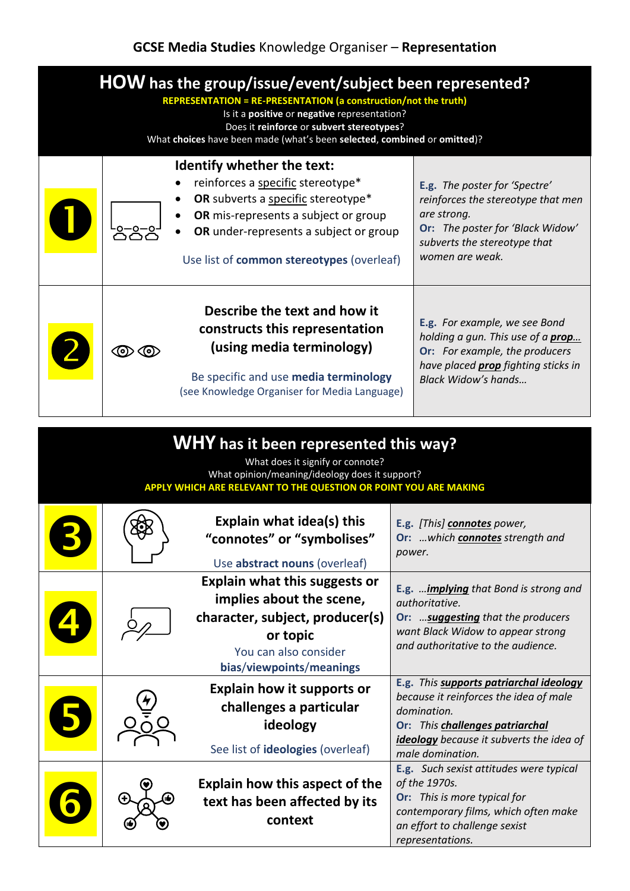## **GCSE Media Studies** Knowledge Organiser – **Representation**